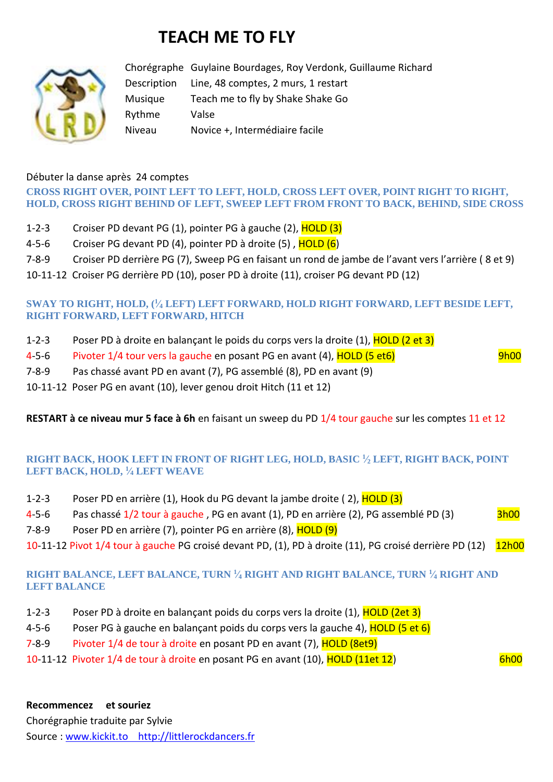# **TEACH ME TO FLY**



Chorégraphe Guylaine Bourdages, Roy Verdonk, Guillaume Richard Description Line, 48 comptes, 2 murs, 1 restart Musique Teach me to fly by Shake Shake Go Rythme Valse Niveau Novice +, Intermédiaire facile

### Débuter la danse après 24 comptes

## **CROSS RIGHT OVER, POINT LEFT TO LEFT, HOLD, CROSS LEFT OVER, POINT RIGHT TO RIGHT, HOLD, CROSS RIGHT BEHIND OF LEFT, SWEEP LEFT FROM FRONT TO BACK, BEHIND, SIDE CROSS**

- 1-2-3 Croiser PD devant PG (1), pointer PG à gauche (2), HOLD (3)
- 4-5-6 Croiser PG devant PD (4), pointer PD à droite  $(5)$ , HOLD  $(6)$
- 7-8-9 Croiser PD derrière PG (7), Sweep PG en faisant un rond de jambe de l'avant vers l'arrière ( 8 et 9)
- 10-11-12 Croiser PG derrière PD (10), poser PD à droite (11), croiser PG devant PD (12)

### **SWAY TO RIGHT, HOLD, (<sup>1</sup> ⁄<sup>4</sup> LEFT) LEFT FORWARD, HOLD RIGHT FORWARD, LEFT BESIDE LEFT, RIGHT FORWARD, LEFT FORWARD, HITCH**

- 1-2-3 Poser PD à droite en balançant le poids du corps vers la droite (1), HOLD (2 et 3)
- 4-5-6 Pivoter 1/4 tour vers la gauche en posant PG en avant (4), HOLD (5 et6) Prosection on the Supplement of

- 7-8-9 Pas chassé avant PD en avant (7), PG assemblé (8), PD en avant (9)
- 10-11-12 Poser PG en avant (10), lever genou droit Hitch (11 et 12)

**RESTART à ce niveau mur 5 face à 6h** en faisant un sweep du PD 1/4 tour gauche sur les comptes 11 et 12

#### **RIGHT BACK, HOOK LEFT IN FRONT OF RIGHT LEG, HOLD, BASIC <sup>1</sup> ⁄<sup>2</sup> LEFT, RIGHT BACK, POINT LEFT BACK, HOLD, <sup>1</sup> ⁄<sup>4</sup> LEFT WEAVE**

- 1-2-3 Poser PD en arrière (1), Hook du PG devant la jambe droite (2), HOLD (3)
- 4-5-6 Pas chassé 1/2 tour à gauche, PG en avant (1), PD en arrière (2), PG assemblé PD (3) 3h00
- 7-8-9 Poser PD en arrière (7), pointer PG en arrière (8), HOLD (9)
- 10-11-12 Pivot 1/4 tour à gauche PG croisé devant PD, (1), PD à droite (11), PG croisé derrière PD (12) 12h00

#### **RIGHT BALANCE, LEFT BALANCE, TURN <sup>1</sup> ⁄<sup>4</sup> RIGHT AND RIGHT BALANCE, TURN <sup>1</sup> ⁄<sup>4</sup> RIGHT AND LEFT BALANCE**

- 1-2-3 Poser PD à droite en balançant poids du corps vers la droite (1), HOLD (2et 3)
- 4-5-6 Poser PG à gauche en balançant poids du corps vers la gauche 4), HOLD (5 et 6)
- 7-8-9 Pivoter 1/4 de tour à droite en posant PD en avant (7), HOLD (8et9)
- 10-11-12 Pivoter 1/4 de tour à droite en posant PG en avant (10), HOLD (11et 12) 6h00